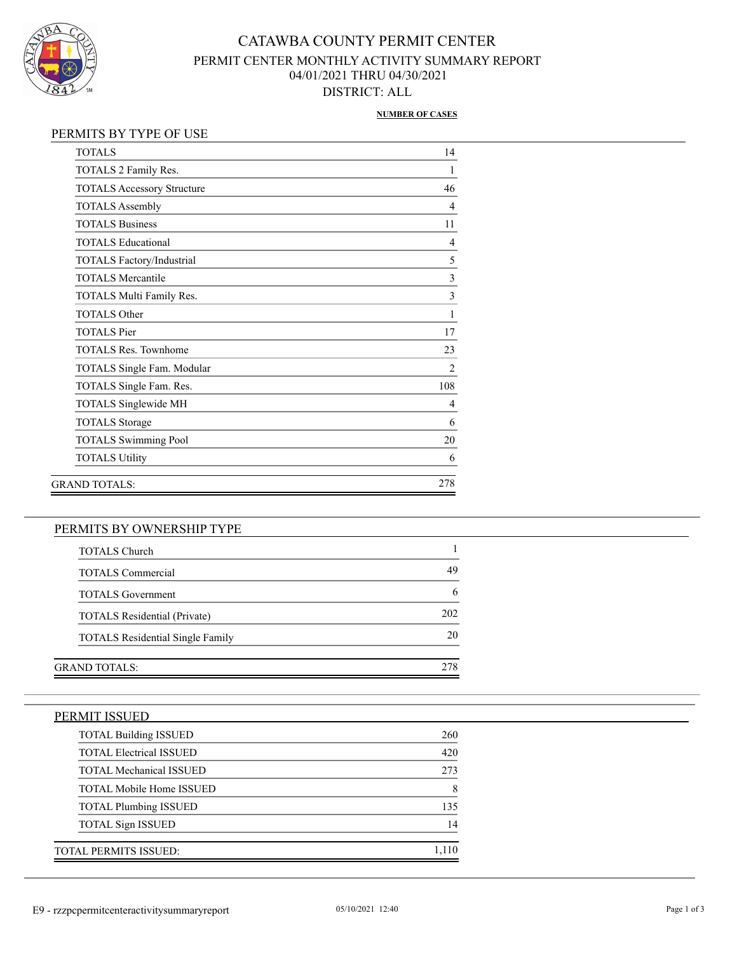

## CATAWBA COUNTY PERMIT CENTER PERMIT CENTER MONTHLY ACTIVITY SUMMARY REPORT 04/01/2021 THRU 04/30/2021 DISTRICT: ALL

#### **NUMBER OF CASES**

#### PERMITS BY TYPE OF USE

| <b>TOTALS</b>                     | 14             |
|-----------------------------------|----------------|
| TOTALS 2 Family Res.              |                |
| <b>TOTALS Accessory Structure</b> | 46             |
| <b>TOTALS Assembly</b>            | $\overline{4}$ |
| <b>TOTALS Business</b>            | 11             |
| <b>TOTALS Educational</b>         | $\overline{4}$ |
| TOTALS Factory/Industrial         | 5              |
| <b>TOTALS Mercantile</b>          | 3              |
| TOTALS Multi Family Res.          | $\overline{3}$ |
| <b>TOTALS Other</b>               | 1              |
| <b>TOTALS</b> Pier                | 17             |
| <b>TOTALS Res. Townhome</b>       | 23             |
| TOTALS Single Fam. Modular        | 2              |
| TOTALS Single Fam. Res.           | 108            |
| TOTALS Singlewide MH              | 4              |
| <b>TOTALS</b> Storage             | 6              |
| <b>TOTALS Swimming Pool</b>       | 20             |
| <b>TOTALS Utility</b>             | 6              |
| GRAND TOTALS:                     | 278            |
|                                   |                |

#### PERMITS BY OWNERSHIP TYPE

| <b>TOTALS Church</b>                    |     |
|-----------------------------------------|-----|
| <b>TOTALS Commercial</b>                | 49  |
| <b>TOTALS</b> Government                |     |
| <b>TOTALS</b> Residential (Private)     | 202 |
| <b>TOTALS</b> Residential Single Family | 20  |
|                                         |     |
| GRAND TOTALS:                           |     |

### PERMIT ISSUED

| <b>TOTAL Building ISSUED</b>    | 260   |
|---------------------------------|-------|
| <b>TOTAL Electrical ISSUED</b>  | 420   |
| <b>TOTAL Mechanical ISSUED</b>  | 273   |
| <b>TOTAL Mobile Home ISSUED</b> | 8     |
| <b>TOTAL Plumbing ISSUED</b>    | 135   |
| <b>TOTAL Sign ISSUED</b>        | 14    |
| TOTAL PERMITS ISSUED:           | 1,110 |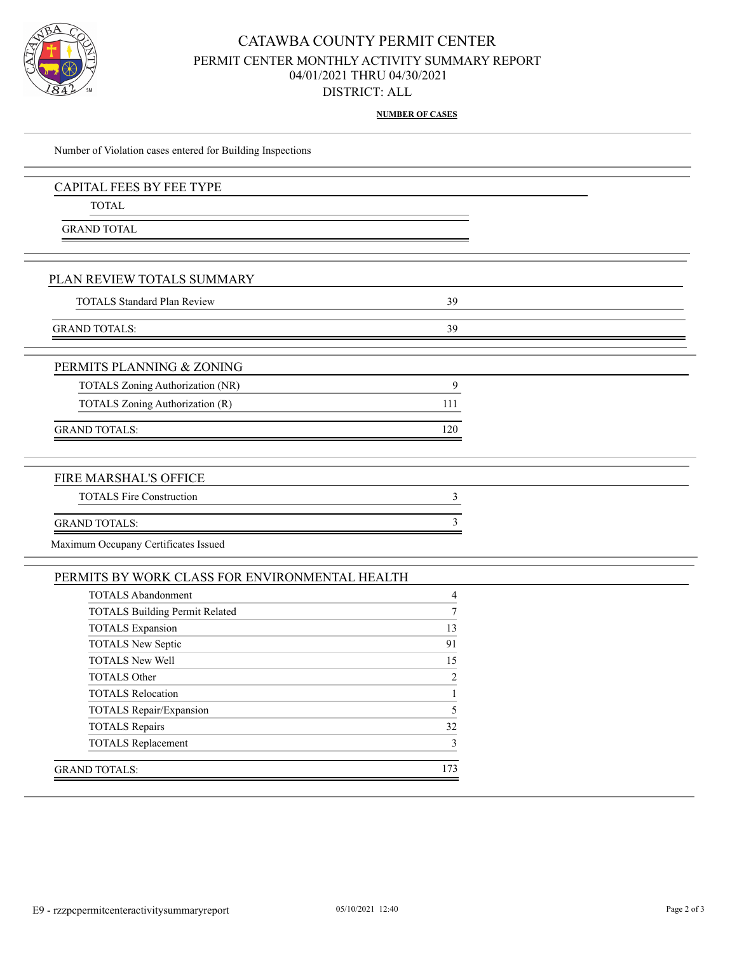

### CATAWBA COUNTY PERMIT CENTER PERMIT CENTER MONTHLY ACTIVITY SUMMARY REPORT 04/01/2021 THRU 04/30/2021 DISTRICT: ALL

**NUMBER OF CASES**

| Number of Violation cases entered for Building Inspections |                |  |
|------------------------------------------------------------|----------------|--|
| <b>CAPITAL FEES BY FEE TYPE</b>                            |                |  |
| <b>TOTAL</b>                                               |                |  |
| <b>GRAND TOTAL</b>                                         |                |  |
|                                                            |                |  |
| PLAN REVIEW TOTALS SUMMARY                                 |                |  |
| <b>TOTALS Standard Plan Review</b>                         | 39             |  |
| <b>GRAND TOTALS:</b>                                       | 39             |  |
|                                                            |                |  |
| PERMITS PLANNING & ZONING                                  |                |  |
| <b>TOTALS Zoning Authorization (NR)</b>                    | 9              |  |
| TOTALS Zoning Authorization (R)                            | 111            |  |
| <b>GRAND TOTALS:</b>                                       | 120            |  |
|                                                            |                |  |
| FIRE MARSHAL'S OFFICE                                      |                |  |
| <b>TOTALS Fire Construction</b>                            | 3              |  |
| <b>GRAND TOTALS:</b>                                       | 3              |  |
| Maximum Occupany Certificates Issued                       |                |  |
| PERMITS BY WORK CLASS FOR ENVIRONMENTAL HEALTH             |                |  |
| <b>TOTALS Abandonment</b>                                  | $\overline{4}$ |  |
| <b>TOTALS Building Permit Related</b>                      | 7              |  |
|                                                            |                |  |

| 10 1/110 Danamg I crimt Related |              |
|---------------------------------|--------------|
| <b>TOTALS</b> Expansion         | 13           |
| <b>TOTALS New Septic</b>        | 91           |
| <b>TOTALS New Well</b>          | 15           |
| <b>TOTALS Other</b>             | 2            |
| <b>TOTALS Relocation</b>        |              |
| TOTALS Repair/Expansion         | 5            |
| <b>TOTALS</b> Repairs           | 32           |
| <b>TOTALS Replacement</b>       | $\mathbf{3}$ |
| GRAND TOTALS:                   | 173          |
|                                 |              |